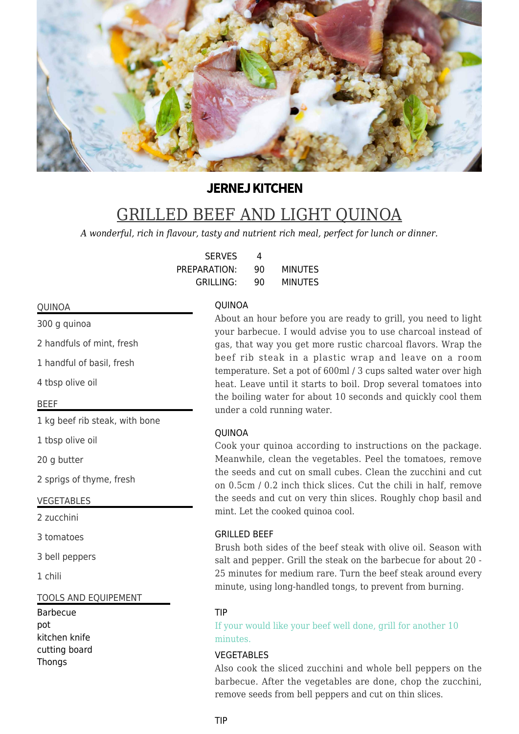

# **JERNEJ KITCHEN**

# GRILLED BEEF AND LIGHT QUINOA

*A wonderful, rich in flavour, tasty and nutrient rich meal, perfect for lunch or dinner.*

| <b>SERVES</b>    |    |                |
|------------------|----|----------------|
| PREPARATION:     | 90 | <b>MINUTES</b> |
| <b>GRILLING:</b> | 90 | <b>MINUTES</b> |

#### **OUINOA**

QUINOA

300 g quinoa

2 handfuls of mint, fresh

1 handful of basil, fresh

4 tbsp olive oil

# BEEF

1 kg beef rib steak, with bone

1 tbsp olive oil

20 g butter

2 sprigs of thyme, fresh

#### VEGETABLES

2 zucchini

3 tomatoes

3 bell peppers

1 chili

#### TOOLS AND EQUIPEMENT

Barbecue pot kitchen knife cutting board Thongs

About an hour before you are ready to grill, you need to light your barbecue. I would advise you to use charcoal instead of gas, that way you get more rustic charcoal flavors. Wrap the beef rib steak in a plastic wrap and leave on a room temperature. Set a pot of 600ml / 3 cups salted water over high heat. Leave until it starts to boil. Drop several tomatoes into the boiling water for about 10 seconds and quickly cool them under a cold running water.

# QUINOA

Cook your quinoa according to instructions on the package. Meanwhile, clean the vegetables. Peel the tomatoes, remove the seeds and cut on small cubes. Clean the zucchini and cut on 0.5cm / 0.2 inch thick slices. Cut the chili in half, remove the seeds and cut on very thin slices. Roughly chop basil and mint. Let the cooked quinoa cool.

#### GRILLED BEEF

Brush both sides of the beef steak with olive oil. Season with salt and pepper. Grill the steak on the barbecue for about 20 - 25 minutes for medium rare. Turn the beef steak around every minute, using long-handled tongs, to prevent from burning.

# TIP

If your would like your beef well done, grill for another 10 minutes.

# VEGETABLES

Also cook the sliced zucchini and whole bell peppers on the barbecue. After the vegetables are done, chop the zucchini, remove seeds from bell peppers and cut on thin slices.